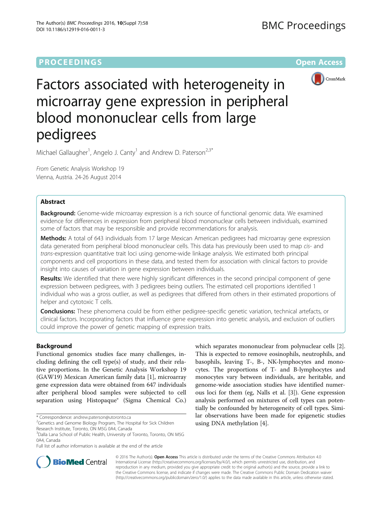# **PROCEEDINGS CONSUMING SECTION CONSUMING SECTION CONSUMING SECTION CONSUMING SECTION CONSUMING SECTION CONSUMING SECTION CONSUMING SECTION CONSUMING SECTION CONSUMING SECTION CONSUMING SECTION CONSUMING SECTION CONSUMING**



# Factors associated with heterogeneity in microarray gene expression in peripheral blood mononuclear cells from large pedigrees

Michael Gallaugher<sup>1</sup>, Angelo J. Canty<sup>1</sup> and Andrew D. Paterson<sup>2,3\*</sup>

From Genetic Analysis Workshop 19 Vienna, Austria. 24-26 August 2014

# Abstract

Background: Genome-wide microarray expression is a rich source of functional genomic data. We examined evidence for differences in expression from peripheral blood mononuclear cells between individuals, examined some of factors that may be responsible and provide recommendations for analysis.

Methods: A total of 643 individuals from 17 large Mexican American pedigrees had microarray gene expression data generated from peripheral blood mononuclear cells. This data has previously been used to map cis- and trans-expression quantitative trait loci using genome-wide linkage analysis. We estimated both principal components and cell proportions in these data, and tested them for association with clinical factors to provide insight into causes of variation in gene expression between individuals.

Results: We identified that there were highly significant differences in the second principal component of gene expression between pedigrees, with 3 pedigrees being outliers. The estimated cell proportions identified 1 individual who was a gross outlier, as well as pedigrees that differed from others in their estimated proportions of helper and cytotoxic T cells.

Conclusions: These phenomena could be from either pedigree-specific genetic variation, technical artefacts, or clinical factors. Incorporating factors that influence gene expression into genetic analysis, and exclusion of outliers could improve the power of genetic mapping of expression traits.

# Background

Functional genomics studies face many challenges, including defining the cell type(s) of study, and their relative proportions. In the Genetic Analysis Workshop 19 (GAW19) Mexican American family data [[1\]](#page-4-0), microarray gene expression data were obtained from 647 individuals after peripheral blood samples were subjected to cell separation using Histopaque® (Sigma Chemical Co.) which separates mononuclear from polynuclear cells [\[2](#page-4-0)]. This is expected to remove eosinophils, neutrophils, and basophils, leaving T-, B-, NK-lymphocytes and monocytes. The proportions of T- and B-lymphocytes and monocytes vary between individuals, are heritable, and genome-wide association studies have identified numerous loci for them (eg, Nalls et al. [[3\]](#page-4-0)). Gene expression analysis performed on mixtures of cell types can potentially be confounded by heterogeneity of cell types. Similar observations have been made for epigenetic studies using DNA methylation [[4\]](#page-4-0).



© 2016 The Author(s). Open Access This article is distributed under the terms of the Creative Commons Attribution 4.0 International License [\(http://creativecommons.org/licenses/by/4.0/](http://creativecommons.org/licenses/by/4.0/)), which permits unrestricted use, distribution, and reproduction in any medium, provided you give appropriate credit to the original author(s) and the source, provide a link to the Creative Commons license, and indicate if changes were made. The Creative Commons Public Domain Dedication waiver [\(http://creativecommons.org/publicdomain/zero/1.0/](http://creativecommons.org/publicdomain/zero/1.0/)) applies to the data made available in this article, unless otherwise stated.

<sup>\*</sup> Correspondence: [andrew.paterson@utoronto.ca](mailto:andrew.paterson@utoronto.ca) <sup>2</sup>

<sup>&</sup>lt;sup>2</sup>Genetics and Genome Biology Program, The Hospital for Sick Children Research Institute, Toronto, ON M5G 0A4, Canada

<sup>&</sup>lt;sup>3</sup>Dalla Lana School of Public Health, University of Toronto, Toronto, ON M5G 0A4, Canada

Full list of author information is available at the end of the article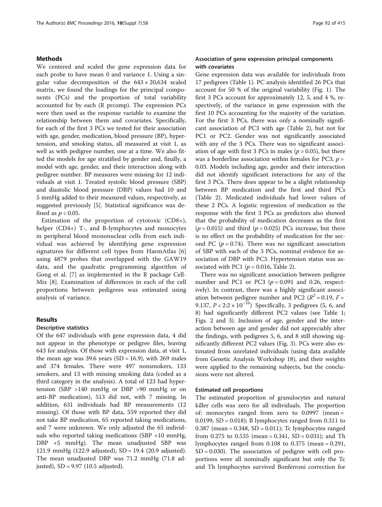# Methods

We centered and scaled the gene expression data for each probe to have mean 0 and variance 1. Using a singular value decomposition of the  $643 \times 20,634$  scaled matrix, we found the loadings for the principal components (PCs) and the proportion of total variability accounted for by each (R prcomp). The expression PCs were then used as the response variable to examine the relationship between them and covariates. Specifically, for each of the first 3 PCs we tested for their association with age, gender, medication, blood pressure (BP), hypertension, and smoking status, all measured at visit 1, as well as with pedigree number, one at a time. We also fitted the models for age stratified by gender and, finally, a model with age, gender, and their interaction along with pedigree number. BP measures were missing for 12 individuals at visit 1. Treated systolic blood pressure (SBP) and diastolic blood pressure (DBP) values had 10 and 5 mmHg added to their measured values, respectively, as suggested previously [\[5\]](#page-4-0). Statistical significance was defined as  $p < 0.05$ .

Estimation of the proportion of cytotoxic (CD8+), helper (CD4+) T-, and B-lymphocytes and monocytes in peripheral blood mononuclear cells from each individual was achieved by identifying gene expression signatures for different cell types from HaemAtlas [\[6](#page-4-0)] using 4879 probes that overlapped with the GAW19 data, and the quadratic programming algorithm of Gong et al. [[7\]](#page-4-0) as implemented in the R package Cell-Mix [[8\]](#page-4-0). Examination of differences in each of the cell proportions between pedigrees was estimated using analysis of variance.

#### Results

# Descriptive statistics

Of the 647 individuals with gene expression data, 4 did not appear in the phenotype or pedigree files, leaving 643 for analysis. Of those with expression data, at visit 1, the mean age was 39.6 years (SD =  $16.9$ ), with 269 males and 374 females. There were 497 nonsmokers, 133 smokers, and 13 with missing smoking data (coded as a third category in the analysis). A total of 123 had hypertension (SBP >140 mmHg or DBP >90 mmHg or on anti-BP medication), 513 did not, with 7 missing. In addition, 631 individuals had BP measurements (12 missing). Of those with BP data, 559 reported they did not take BP medication, 65 reported taking medications, and 7 were unknown. We only adjusted the 65 individuals who reported taking medications (SBP  $+10$  mmHg, DBP +5 mmHg). The mean unadjusted SBP was 121.9 mmHg (122.9 adjusted), SD = 19.4 (20.9 adjusted). The mean unadjusted DBP was 71.2 mmHg (71.8 adjusted), SD = 9.97 (10.5 adjusted).

# Association of gene expression principal components with covariates

Gene expression data was available for individuals from 17 pedigrees (Table [1\)](#page-2-0). PC analysis identified 26 PCs that account for 50 % of the original variability (Fig. [1](#page-2-0)). The first 3 PCs account for approximately 12, 5, and 4 %, respectively, of the variance in gene expression with the first 10 PCs accounting for the majority of the variation. For the first 3 PCs, there was only a nominally significant association of PC3 with age (Table [2](#page-2-0)), but not for PC1 or PC2. Gender was not significantly associated with any of the 3 PCs. There was no significant association of age with first 3 PCs in males ( $p > 0.05$ ), but there was a borderline association within females for PC3,  $p =$ 0.03. Models including age, gender and their interaction did not identify significant interactions for any of the first 3 PCs. There does appear to be a slight relationship between BP medication and the first and third PCs (Table [2\)](#page-2-0). Medicated individuals had lower values of these 2 PCs. A logistic regression of medication as the response with the first 3 PCs as predictors also showed that the probability of medication decreases as the first  $(p = 0.015)$  and third  $(p = 0.025)$  PCs increase, but there is no effect on the probability of medication for the second PC ( $p = 0.74$ ). There was no significant association of SBP with each of the 3 PCs, nominal evidence for association of DBP with PC3. Hypertension status was associated with PC1 ( $p = 0.016$ , Table [2\)](#page-2-0).

There was no significant association between pedigree number and PC1 or PC3 ( $p = 0.091$  and 0.26, respectively). In contrast, there was a highly significant association between pedigree number and PC2 ( $R^2$  = 0.19, F = 9.137,  $P < 2:2 \times 10^{-16}$ ) Specifically, 3 pedigrees (5, 6, and 8) had significantly different PC2 values (see Table [1](#page-2-0); Figs. [2](#page-3-0) and [3\)](#page-3-0). Inclusion of age, gender and the interaction between age and gender did not appreciably alter the findings, with pedigrees 5, 6, and 8 still showing significantly different PC2 values (Fig. [3\)](#page-3-0). PCs were also estimated from unrelated individuals (using data available from Genetic Analysis Workshop 18), and their weights were applied to the remaining subjects, but the conclusions were not altered.

#### Estimated cell proportions

The estimated proportion of granulocytes and natural killer cells was zero for all individuals. The proportion of: monocytes ranged from zero to 0.0997 (mean = 0.0199,  $SD = 0.018$ ; B lymphocytes ranged from 0.311 to 0.387 (mean =  $0.348$ , SD =  $0.011$ ); Tc lymphocytes ranged from  $0.275$  to  $0.535$  (mean =  $0.341$ , SD =  $0.031$ ); and Th lymphocytes ranged from 0.108 to 0.375 (mean = 0.291,  $SD = 0.030$ . The association of pedigree with cell proportions were all nominally significant but only the Tc and Th lymphocytes survived Bonferroni correction for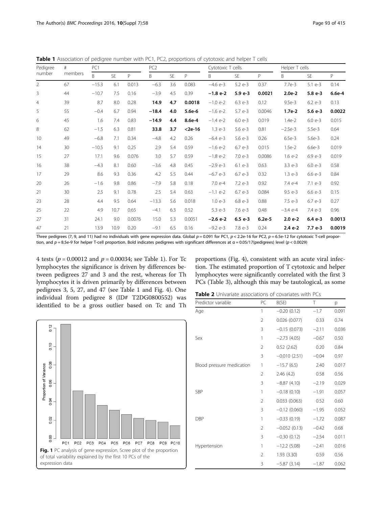Three pedigrees (7, 9, and 11) had no individuals with gene expression data. Global  $p = 0.091$  for PC1,  $p < 2.2e-16$  for PC2,  $p = 6.5e-12$  for cytotoxic T-cell proportion, and  $p = 8.5e-9$  for helper T-cell proportion. Bold indicates pedigrees with significant differences at  $\alpha = 0.05/17$ (pedigrees) level ( $p < 0.0029$ )

4 tests ( $p = 0.00012$  and  $p = 0.00034$ ; see Table 1). For Tc lymphocytes the significance is driven by differences between pedigrees 27 and 3 and the rest, whereas for Th lymphocytes it is driven primarily by differences between pedigrees 3, 5, 27, and 47 (see Table 1 and Fig. [4\)](#page-3-0). One individual from pedigree 8 (ID# T2DG0800552) was identified to be a gross outlier based on Tc and Th proportions (Fig. [4\)](#page-3-0), consistent with an acute viral infection. The estimated proportion of T cytotoxic and helper lymphocytes were significantly correlated with the first 3 PCs (Table [3\)](#page-3-0), although this may be tautological, as some



| Predictor variable        | PC             | B(SE)          | Τ       | p     |
|---------------------------|----------------|----------------|---------|-------|
| Age                       | 1              | $-0.20(0.12)$  | $-1.7$  | 0.091 |
|                           | $\overline{2}$ | 0.026(0.077)   | 0.33    | 0.74  |
|                           | 3              | $-0.15(0.073)$ | $-2.11$ | 0.036 |
| Sex                       | 1              | $-2.73(4.05)$  | $-0.67$ | 0.50  |
|                           | $\overline{2}$ | 0.52(2.62)     | 0.20    | 0.84  |
|                           | 3              | $-0.010(2.51)$ | $-0.04$ | 0.97  |
| Blood pressure medication | 1              | $-15.7(6.5)$   | 2.40    | 0.017 |
|                           | $\overline{2}$ | 2.46(4.2)      | 0.58    | 0.56  |
|                           | 3              | $-8.87(4.10)$  | $-2.19$ | 0.029 |
| SBP                       | 1              | $-0.18(0.10)$  | $-1.91$ | 0.057 |
|                           | $\overline{2}$ | 0.033(0.063)   | 0.52    | 0.60  |
|                           | 3              | $-0.12(0.060)$ | $-1.95$ | 0.052 |
| DBP                       | 1              | $-0.33(0.19)$  | $-1.72$ | 0.087 |
|                           | 2              | $-0.052(0.13)$ | $-0.42$ | 0.68  |
|                           | 3              | $-0.30(0.12)$  | $-2.54$ | 0.011 |
| Hypertension              | 1              | $-12.2$ (5.08) | $-2.41$ | 0.016 |
|                           | $\overline{2}$ | 1.93 (3.30)    | 0.59    | 0.56  |
|                           | 3              | $-5.87(3.14)$  | $-1.87$ | 0.062 |

<span id="page-2-0"></span>**Table 1** Association of pedigree number with PC1, PC2, proportions of cytotoxic and helper T cells

| Pedigree<br>number | #<br>members | PC1     |           |        | PC <sub>2</sub> |           | Cytotoxic T cells |            |            | Helper T cells |            |            |        |
|--------------------|--------------|---------|-----------|--------|-----------------|-----------|-------------------|------------|------------|----------------|------------|------------|--------|
|                    |              | B.      | <b>SF</b> | P      | B.              | <b>SE</b> | P                 | B          | <b>SE</b>  | P              | B          | <b>SE</b>  | P      |
| $\overline{2}$     | 67           | $-15.3$ | 6.1       | 0.013  | $-6.3$          | 3.6       | 0.083             | $-4.6 e-3$ | $5.2e-3$   | 0.37           | 7.7e-3     | $5.1 e-3$  | 0.14   |
| 3                  | 44           | $-10.7$ | 7.5       | 0.16   | $-3.9$          | 4.5       | 0.39              | $-1.8e-2$  | $5.9e-3$   | 0.0021         | $2.0e-2$   | $5.8 e-3$  | 6.6e-4 |
| $\overline{4}$     | 39           | 8.7     | 8.0       | 0.28   | 14.9            | 4.7       | 0.0018            | $-1.0$ e-2 | $6.3 e-3$  | 0.12           | $9.5e-3$   | $6.2 e-3$  | 0.13   |
| 5                  | 55           | $-0.4$  | 6.7       | 0.94   | $-18.4$         | 4.0       | 5.6e-6            | $-1.6$ e-2 | $5.7e-3$   | 0.0046         | $1.7e-2$   | $5.6 e-3$  | 0.0022 |
| 6                  | 45           | 1.6     | 7.4       | 0.83   | $-14.9$         | 4.4       | 8.6e-4            | $-1.4$ e-2 | $6.0e - 3$ | 0.019          | $1.4e-2$   | $6.0e - 3$ | 0.015  |
| 8                  | 62           | $-1.5$  | 6.3       | 0.81   | 33.8            | 3.7       | $<$ 2e-16         | $1.3e-3$   | $5.6e - 3$ | 0.81           | $-2.5e-3$  | $5.5e-3$   | 0.64   |
| 10                 | 49           | $-6.8$  | 7.1       | 0.34   | $-4.8$          | 4.2       | 0.26              | $-6.4e-3$  | $5.6e - 3$ | 0.26           | $6.5e-3$   | $5.6e-3$   | 0.24   |
| 14                 | 30           | $-10.5$ | 9.1       | 0.25   | 2.9             | 5.4       | 0.59              | $-1.6$ e-2 | $6.7e-3$   | 0.015          | $1.5e-2$   | $6.6e-3$   | 0.019  |
| 15                 | 27           | 17.1    | 9.6       | 0.076  | 3.0             | 5.7       | 0.59              | $-1.8$ e-2 | $7.0e-3$   | 0.0086         | $1.6e-2$   | $6.9e - 3$ | 0.019  |
| 16                 | 38           | $-4.3$  | 8.1       | 0.60   | $-3.6$          | 4.8       | 0.45              | $-2.9e-3$  | $6.1 e-3$  | 0.63           | $3.3 e-3$  | $6.0e-3$   | 0.58   |
| 17                 | 29           | 8.6     | 9.3       | 0.36   | 4.2             | 5.5       | 0.44              | $-6.7e-3$  | $6.7e-3$   | 0.32           | $1.3e-3$   | $6.6 e-3$  | 0.84   |
| 20                 | 26           | $-1.6$  | 9.8       | 0.86   | $-7.9$          | 5.8       | 0.18              | 7.0 e-4    | $7.2e-3$   | 0.92           | 7.4 e-4    | $7.1 e-3$  | 0.92   |
| 21                 | 30           | 2.5     | 9.1       | 0.78   | 2.5             | 5.4       | 0.63              | $-1.1$ e-2 | $6.7e-3$   | 0.084          | $9.5e - 3$ | $6.6 e-3$  | 0.15   |
| 23                 | 28           | 4.4     | 9.5       | 0.64   | $-13.3$         | 5.6       | 0.018             | $1.0e-3$   | $6.8e - 3$ | 0.88           | 7.5 e-3    | $6.7e-3$   | 0.27   |
| 25                 | 22           | 4.9     | 10.7      | 0.65   | $-4.1$          | 6.3       | 0.52              | $5.3 e-3$  | $7.6e - 3$ | 0.48           | $-3.4$ e-4 | $7.4e-3$   | 0.96   |
| 27                 | 31           | 24.1    | 9.0       | 0.0076 | 15.0            | 5.3       | 0.0051            | $-2.6 e-2$ | $6.5 e-3$  | $6.2e-5$       | $2.0 e-2$  | $6.4e-3$   | 0.0013 |
| 47                 | 21           | 13.9    | 10.9      | 0.20   | $-9.1$          | 6.5       | 0.16              | $-9.2$ e-3 | 7.8 e-3    | 0.24           | $2.4e-2$   | $7.7e-3$   | 0.0019 |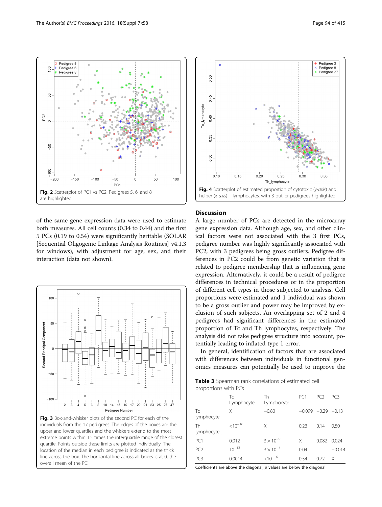Pedigree 5

Pedigree 6 Pedigree 8

<span id="page-3-0"></span> $\rm ^{\rm o}$ 

SO

-50

ΩÜ

PC<sub>2</sub>





both measures. All cell counts (0.34 to 0.44) and the first 5 PCs (0.19 to 0.54) were significantly heritable (SOLAR [Sequential Oligogenic Linkage Analysis Routines] v4.1.3 for windows), with adjustment for age, sex, and their interaction (data not shown).





# **Discussion**

A large number of PCs are detected in the microarray gene expression data. Although age, sex, and other clinical factors were not associated with the 3 first PCs, pedigree number was highly significantly associated with PC2, with 3 pedigrees being gross outliers. Pedigree differences in PC2 could be from genetic variation that is related to pedigree membership that is influencing gene expression. Alternatively, it could be a result of pedigree differences in technical procedures or in the proportion of different cell types in those subjected to analysis. Cell proportions were estimated and 1 individual was shown to be a gross outlier and power may be improved by exclusion of such subjects. An overlapping set of 2 and 4 pedigrees had significant differences in the estimated proportion of Tc and Th lymphocytes, respectively. The analysis did not take pedigree structure into account, potentially leading to inflated type 1 error.

In general, identification of factors that are associated with differences between individuals in functional genomics measures can potentially be used to improve the

Table 3 Spearman rank correlations of estimated cell proportions with PCs

|                  | Tc<br>Lymphocyte | Th<br>Lymphocyte   | PC <sub>1</sub> | PC <sub>2</sub> | PC <sub>3</sub> |
|------------------|------------------|--------------------|-----------------|-----------------|-----------------|
| Tc<br>lymphocyte | Χ                | $-0.80$            | $-0.099$        | $-0.29 -0.13$   |                 |
| Th<br>lymphocyte | $< 10^{-16}$     | Χ                  | 0.23            | 0.14            | 0.50            |
| PC <sub>1</sub>  | 0.012            | $3 \times 10^{-9}$ | Χ               | 0.082           | 0.024           |
| PC <sub>2</sub>  | $10^{-13}$       | $3 \times 10^{-4}$ | 0.04            |                 | $-0.014$        |
| PC <sub>3</sub>  | 0.0014           | $< 10^{-16}$       | 0.54            | 0.72            | X               |

Coefficients are above the diagonal,  $p$  values are below the diagonal